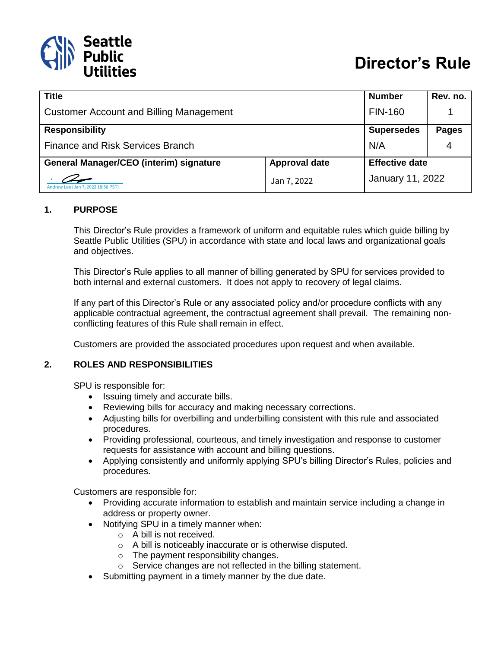

| <b>Title</b>                                   |                      | <b>Number</b>         | Rev. no.     |
|------------------------------------------------|----------------------|-----------------------|--------------|
| <b>Customer Account and Billing Management</b> |                      | <b>FIN-160</b>        |              |
| <b>Responsibility</b>                          |                      | <b>Supersedes</b>     | <b>Pages</b> |
| <b>Finance and Risk Services Branch</b>        |                      | N/A                   | 4            |
| <b>General Manager/CEO (interim) signature</b> | <b>Approval date</b> | <b>Effective date</b> |              |
| Andrew Lee (Jan 7, 2022 18:58 PST)             | Jan 7, 2022          | January 11, 2022      |              |

### **1. PURPOSE**

This Director's Rule provides a framework of uniform and equitable rules which guide billing by Seattle Public Utilities (SPU) in accordance with state and local laws and organizational goals and objectives.

This Director's Rule applies to all manner of billing generated by SPU for services provided to both internal and external customers. It does not apply to recovery of legal claims.

If any part of this Director's Rule or any associated policy and/or procedure conflicts with any applicable contractual agreement, the contractual agreement shall prevail. The remaining nonconflicting features of this Rule shall remain in effect.

Customers are provided the associated procedures upon request and when available.

### **2. ROLES AND RESPONSIBILITIES**

SPU is responsible for:

- Issuing timely and accurate bills.
- Reviewing bills for accuracy and making necessary corrections.
- Adjusting bills for overbilling and underbilling consistent with this rule and associated procedures.
- Providing professional, courteous, and timely investigation and response to customer requests for assistance with account and billing questions.
- Applying consistently and uniformly applying SPU's billing Director's Rules, policies and procedures.

Customers are responsible for:

- Providing accurate information to establish and maintain service including a change in address or property owner.
- Notifying SPU in a timely manner when:
	- o A bill is not received.
	- o A bill is noticeably inaccurate or is otherwise disputed.
	- $\circ$  The payment responsibility changes.
	- $\circ$  Service changes are not reflected in the billing statement.
- Submitting payment in a timely manner by the due date.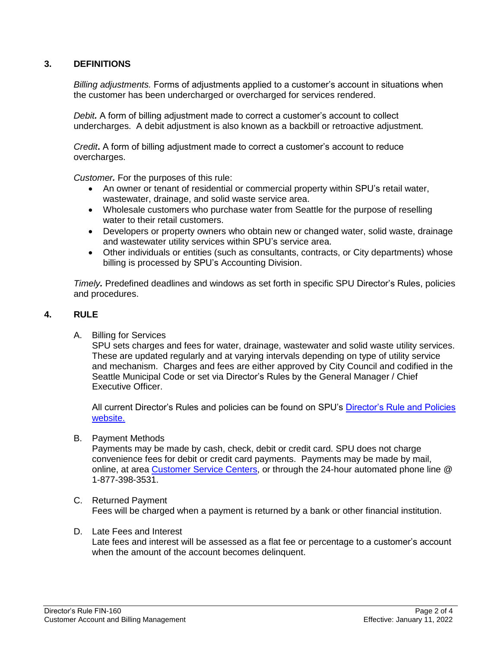# **3. DEFINITIONS**

*Billing adjustments.* Forms of adjustments applied to a customer's account in situations when the customer has been undercharged or overcharged for services rendered.

*Debit.* A form of billing adjustment made to correct a customer's account to collect undercharges. A debit adjustment is also known as a backbill or retroactive adjustment.

*Credit***.** A form of billing adjustment made to correct a customer's account to reduce overcharges.

*Customer.* For the purposes of this rule:

- An owner or tenant of residential or commercial property within SPU's retail water, wastewater, drainage, and solid waste service area.
- Wholesale customers who purchase water from Seattle for the purpose of reselling water to their retail customers.
- Developers or property owners who obtain new or changed water, solid waste, drainage and wastewater utility services within SPU's service area.
- Other individuals or entities (such as consultants, contracts, or City departments) whose billing is processed by SPU's Accounting Division.

*Timely.* Predefined deadlines and windows as set forth in specific SPU Director's Rules, policies and procedures.

### **4. RULE**

A. Billing for Services

SPU sets charges and fees for water, drainage, wastewater and solid waste utility services. These are updated regularly and at varying intervals depending on type of utility service and mechanism. Charges and fees are either approved by City Council and codified in the Seattle Municipal Code or set via Director's Rules by the General Manager / Chief Executive Officer.

All current Director's Rules and policies can be found on SPU's [Director's Rule and Policies](http://www.seattle.gov/util/aboutus/management/director/rulesandpolicies/)  [website.](http://www.seattle.gov/util/aboutus/management/director/rulesandpolicies/)

#### B. Payment Methods

Payments may be made by cash, check, debit or credit card. SPU does not charge convenience fees for debit or credit card payments. Payments may be made by mail, online, at area [Customer Service Centers,](http://www.seattle.gov/customer-service-centers) or through the 24-hour automated phone line @ 1-877-398-3531.

- C. Returned Payment Fees will be charged when a payment is returned by a bank or other financial institution.
- D. Late Fees and Interest

Late fees and interest will be assessed as a flat fee or percentage to a customer's account when the amount of the account becomes delinquent.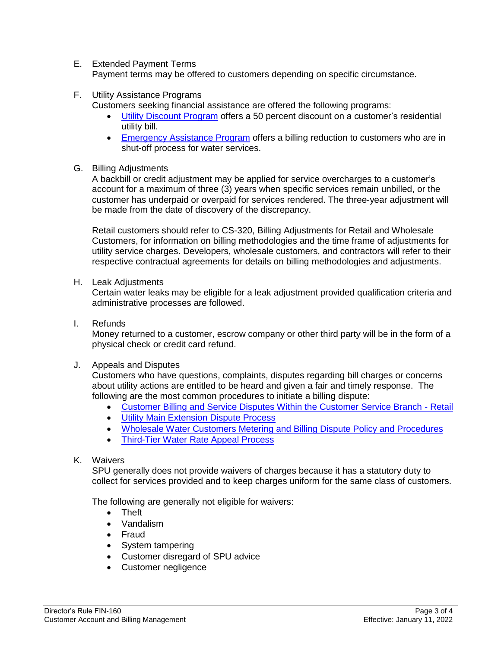E. Extended Payment Terms

Payment terms may be offered to customers depending on specific circumstance.

F. Utility Assistance Programs

Customers seeking financial assistance are offered the following programs:

- [Utility Discount Program](http://www.seattle.gov/util/myservices/myaccount/gethelpwithutilitybill/emergencyassistance/) offers a 50 percent discount on a customer's residential utility bill.
- **[Emergency Assistance](http://www.seattle.gov/util/myservices/myaccount/gethelpwithutilitybill/emergencyassistance/) Program** offers a billing reduction to customers who are in shut-off process for water services.
- G. Billing Adjustments

A backbill or credit adjustment may be applied for service overcharges to a customer's account for a maximum of three (3) years when specific services remain unbilled, or the customer has underpaid or overpaid for services rendered. The three-year adjustment will be made from the date of discovery of the discrepancy.

Retail customers should refer to CS-320, Billing Adjustments for Retail and Wholesale Customers, for information on billing methodologies and the time frame of adjustments for utility service charges. Developers, wholesale customers, and contractors will refer to their respective contractual agreements for details on billing methodologies and adjustments.

H. Leak Adjustments

Certain water leaks may be eligible for a leak adjustment provided qualification criteria and administrative processes are followed.

I. Refunds

Money returned to a customer, escrow company or other third party will be in the form of a physical check or credit card refund.

J. Appeals and Disputes

Customers who have questions, complaints, disputes regarding bill charges or concerns about utility actions are entitled to be heard and given a fair and timely response. The following are the most common procedures to initiate a billing dispute:

- [Customer Billing and Service Disputes Within the Customer Service Branch -](http://www.seattle.gov/util/cs/groups/public/@spuweb/@policy/documents/webcontent/02_008541.pdf) Retail
- **[Utility Main Extension Dispute Process](http://www.seattle.gov/util/Engineering/DevelopmentServicesOffice/ContactUs/UtilityMainExtensionDisputes/index.htm)**
- [Wholesale Water Customers](http://www.seattle.gov/util/cs/groups/public/@spuweb/@policy/documents/webcontent/02_008545.pdf) Metering and Billing Dispute Policy and Procedures
- [Third-Tier Water Rate Appeal Process](http://www.seattle.gov/util/myservices/water/waterrates/thirdtierwaterrateappealprocess/)

### K. Waivers

SPU generally does not provide waivers of charges because it has a statutory duty to collect for services provided and to keep charges uniform for the same class of customers.

The following are generally not eligible for waivers:

- Theft
- Vandalism
- Fraud
- System tampering
- Customer disregard of SPU advice
- Customer negligence